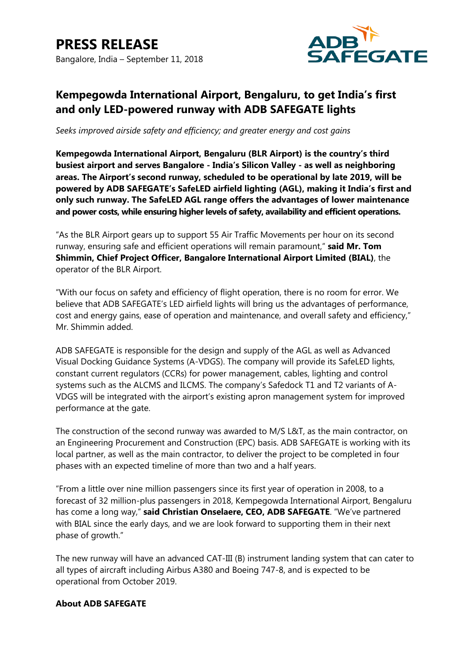

## **Kempegowda International Airport, Bengaluru, to get India's first and only LED-powered runway with ADB SAFEGATE lights**

*Seeks improved airside safety and efficiency; and greater energy and cost gains*

**Kempegowda International Airport, Bengaluru (BLR Airport) is the country's third busiest airport and serves Bangalore - India's Silicon Valley - as well as neighboring areas. The Airport's second runway, scheduled to be operational by late 2019, will be powered by ADB SAFEGATE's SafeLED airfield lighting (AGL), making it India's first and only such runway. The SafeLED AGL range offers the advantages of lower maintenance and power costs, while ensuring higher levels of safety, availability and efficient operations.**

"As the BLR Airport gears up to support 55 Air Traffic Movements per hour on its second runway, ensuring safe and efficient operations will remain paramount," **said Mr. Tom Shimmin, Chief Project Officer, Bangalore International Airport Limited (BIAL)**, the operator of the BLR Airport.

"With our focus on safety and efficiency of flight operation, there is no room for error. We believe that ADB SAFEGATE's LED airfield lights will bring us the advantages of performance, cost and energy gains, ease of operation and maintenance, and overall safety and efficiency," Mr. Shimmin added.

ADB SAFEGATE is responsible for the design and supply of the AGL as well as Advanced Visual Docking Guidance Systems (A-VDGS). The company will provide its SafeLED lights, constant current regulators (CCRs) for power management, cables, lighting and control systems such as the ALCMS and ILCMS. The company's Safedock T1 and T2 variants of A-VDGS will be integrated with the airport's existing apron management system for improved performance at the gate.

The construction of the second runway was awarded to M/S L&T, as the main contractor, on an Engineering Procurement and Construction (EPC) basis. ADB SAFEGATE is working with its local partner, as well as the main contractor, to deliver the project to be completed in four phases with an expected timeline of more than two and a half years.

"From a little over nine million passengers since its first year of operation in 2008, to a forecast of 32 million-plus passengers in 2018, Kempegowda International Airport, Bengaluru has come a long way," **said Christian Onselaere, CEO, ADB SAFEGATE**. "We've partnered with BIAL since the early days, and we are look forward to supporting them in their next phase of growth."

The new runway will have an advanced CAT-III (B) instrument landing system that can cater to all types of aircraft including Airbus A380 and Boeing 747-8, and is expected to be operational from October 2019.

## **About ADB SAFEGATE**